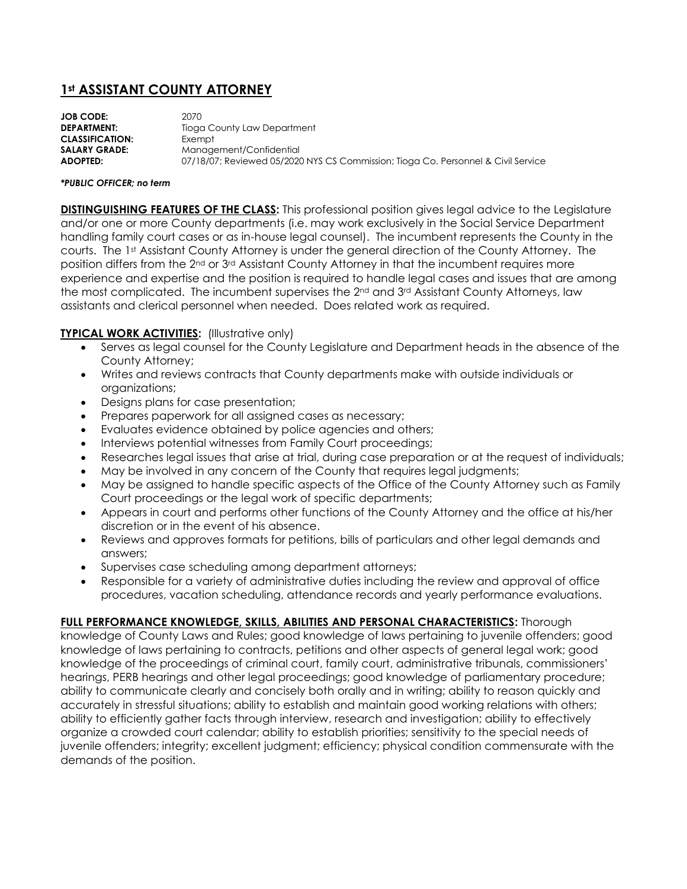## **1st ASSISTANT COUNTY ATTORNEY**

**JOB CODE:** 2070 **DEPARTMENT:** Tioga County Law Department **CLASSIFICATION:** Exempt **SALARY GRADE:** Management/Confidential **ADOPTED:** 07/18/07; Reviewed 05/2020 NYS CS Commission; Tioga Co. Personnel & Civil Service

## *\*PUBLIC OFFICER; no term*

**DISTINGUISHING FEATURES OF THE CLASS:** This professional position gives legal advice to the Legislature and/or one or more County departments (i.e. may work exclusively in the Social Service Department handling family court cases or as in-house legal counsel). The incumbent represents the County in the courts. The 1st Assistant County Attorney is under the general direction of the County Attorney. The position differs from the 2nd or 3rd Assistant County Attorney in that the incumbent requires more experience and expertise and the position is required to handle legal cases and issues that are among the most complicated. The incumbent supervises the  $2<sup>nd</sup>$  and  $3<sup>rd</sup>$  Assistant County Attorneys, law assistants and clerical personnel when needed. Does related work as required.

## **TYPICAL WORK ACTIVITIES:** (Illustrative only)

- Serves as legal counsel for the County Legislature and Department heads in the absence of the County Attorney;
- Writes and reviews contracts that County departments make with outside individuals or organizations;
- Designs plans for case presentation;
- Prepares paperwork for all assigned cases as necessary;
- Evaluates evidence obtained by police agencies and others;
- Interviews potential witnesses from Family Court proceedings;
- Researches legal issues that arise at trial, during case preparation or at the request of individuals;
- May be involved in any concern of the County that requires legal judgments;
- May be assigned to handle specific aspects of the Office of the County Attorney such as Family Court proceedings or the legal work of specific departments;
- Appears in court and performs other functions of the County Attorney and the office at his/her discretion or in the event of his absence.
- Reviews and approves formats for petitions, bills of particulars and other legal demands and answers;
- Supervises case scheduling among department attorneys;
- Responsible for a variety of administrative duties including the review and approval of office procedures, vacation scheduling, attendance records and yearly performance evaluations.

## **FULL PERFORMANCE KNOWLEDGE, SKILLS, ABILITIES AND PERSONAL CHARACTERISTICS:** Thorough

knowledge of County Laws and Rules; good knowledge of laws pertaining to juvenile offenders; good knowledge of laws pertaining to contracts, petitions and other aspects of general legal work; good knowledge of the proceedings of criminal court, family court, administrative tribunals, commissioners' hearings, PERB hearings and other legal proceedings; good knowledge of parliamentary procedure; ability to communicate clearly and concisely both orally and in writing; ability to reason quickly and accurately in stressful situations; ability to establish and maintain good working relations with others; ability to efficiently gather facts through interview, research and investigation; ability to effectively organize a crowded court calendar; ability to establish priorities; sensitivity to the special needs of juvenile offenders; integrity; excellent judgment; efficiency; physical condition commensurate with the demands of the position.